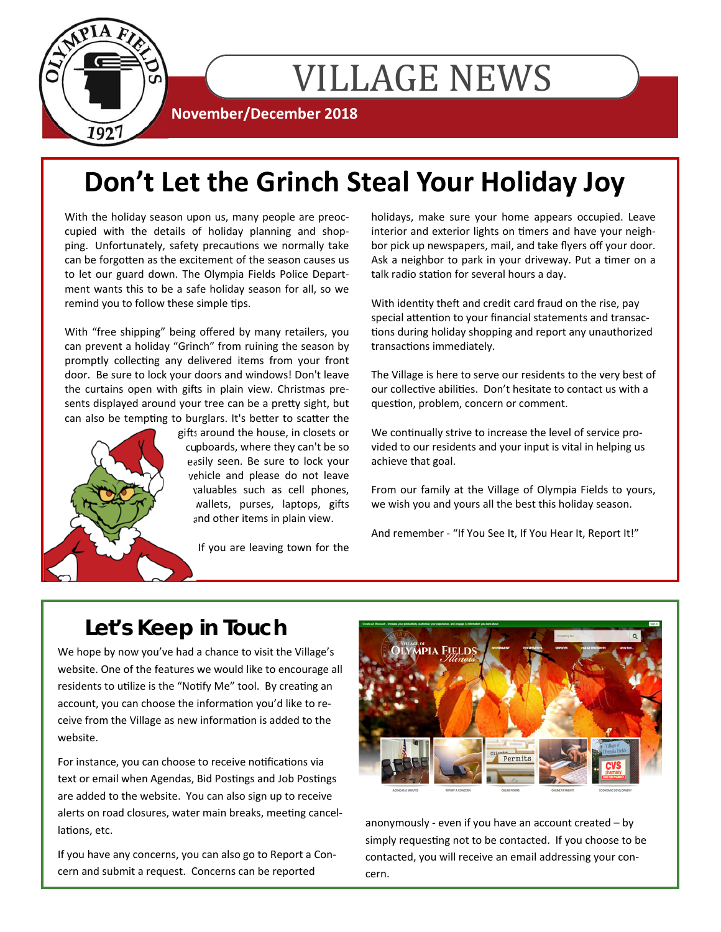

# VILLAGE NEWS

**November/December 2018** 

# **Don't Let the Grinch Steal Your Holiday Joy**

With the holiday season upon us, many people are preoccupied with the details of holiday planning and shopping. Unfortunately, safety precautions we normally take can be forgotten as the excitement of the season causes us to let our guard down. The Olympia Fields Police Department wants this to be a safe holiday season for all, so we remind you to follow these simple tips.

With "free shipping" being offered by many retailers, you can prevent a holiday "Grinch" from ruining the season by promptly collecting any delivered items from your front door. Be sure to lock your doors and windows! Don't leave the curtains open with gifts in plain view. Christmas presents displayed around your tree can be a pretty sight, but can also be tempting to burglars. It's better to scatter the



gifts around the house, in closets or cupboards, where they can't be so easily seen. Be sure to lock your vehicle and please do not leave valuables such as cell phones, wallets, purses, laptops, gifts and other items in plain view.

If you are leaving town for the

holidays, make sure your home appears occupied. Leave interior and exterior lights on timers and have your neighbor pick up newspapers, mail, and take flyers off your door. Ask a neighbor to park in your driveway. Put a timer on a talk radio station for several hours a day.

With identity theft and credit card fraud on the rise, pay special attention to your financial statements and transactions during holiday shopping and report any unauthorized transactions immediately.

The Village is here to serve our residents to the very best of our collective abilities. Don't hesitate to contact us with a question, problem, concern or comment.

We continually strive to increase the level of service provided to our residents and your input is vital in helping us achieve that goal.

From our family at the Village of Olympia Fields to yours, we wish you and yours all the best this holiday season.

And remember - "If You See It, If You Hear It, Report It!"

## **Let's Keep in Touch**

We hope by now you've had a chance to visit the Village's website. One of the features we would like to encourage all residents to utilize is the "Notify Me" tool. By creating an account, you can choose the information you'd like to receive from the Village as new information is added to the website.

For instance, you can choose to receive notifications via text or email when Agendas, Bid Postings and Job Postings are added to the website. You can also sign up to receive alerts on road closures, water main breaks, meeting cancellations, etc.

If you have any concerns, you can also go to Report a Concern and submit a request. Concerns can be reported



anonymously - even if you have an account created – by simply requesting not to be contacted. If you choose to be contacted, you will receive an email addressing your concern.